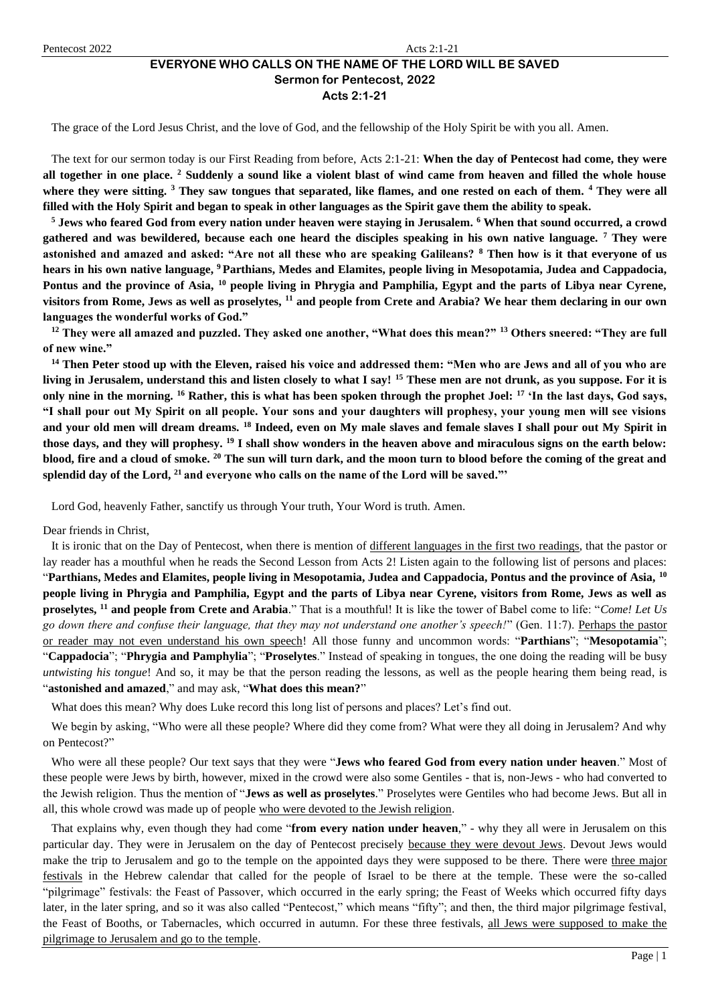# **EVERYONE WHO CALLS ON THE NAME OF THE LORD WILL BE SAVED Sermon for Pentecost, 2022**

**Acts 2:1-21**

The grace of the Lord Jesus Christ, and the love of God, and the fellowship of the Holy Spirit be with you all. Amen.

The text for our sermon today is our First Reading from before, Acts 2:1-21: **When the day of Pentecost had come, they were all together in one place. <sup>2</sup> Suddenly a sound like a violent blast of wind came from heaven and filled the whole house where they were sitting. <sup>3</sup> They saw tongues that separated, like flames, and one rested on each of them. <sup>4</sup> They were all filled with the Holy Spirit and began to speak in other languages as the Spirit gave them the ability to speak.**

**<sup>5</sup> Jews who feared God from every nation under heaven were staying in Jerusalem. <sup>6</sup> When that sound occurred, a crowd gathered and was bewildered, because each one heard the disciples speaking in his own native language. <sup>7</sup> They were astonished and amazed and asked: "Are not all these who are speaking Galileans? <sup>8</sup> Then how is it that everyone of us hears in his own native language, <sup>9</sup> Parthians, Medes and Elamites, people living in Mesopotamia, Judea and Cappadocia, Pontus and the province of Asia, <sup>10</sup> people living in Phrygia and Pamphilia, Egypt and the parts of Libya near Cyrene, visitors from Rome, Jews as well as proselytes, <sup>11</sup> and people from Crete and Arabia? We hear them declaring in our own languages the wonderful works of God."**

**<sup>12</sup> They were all amazed and puzzled. They asked one another, "What does this mean?" <sup>13</sup> Others sneered: "They are full of new wine."**

**<sup>14</sup> Then Peter stood up with the Eleven, raised his voice and addressed them: "Men who are Jews and all of you who are living in Jerusalem, understand this and listen closely to what I say! <sup>15</sup> These men are not drunk, as you suppose. For it is only nine in the morning. <sup>16</sup> Rather, this is what has been spoken through the prophet Joel: <sup>17</sup> 'In the last days, God says, "I shall pour out My Spirit on all people. Your sons and your daughters will prophesy, your young men will see visions and your old men will dream dreams. <sup>18</sup> Indeed, even on My male slaves and female slaves I shall pour out My Spirit in those days, and they will prophesy. <sup>19</sup> I shall show wonders in the heaven above and miraculous signs on the earth below: blood, fire and a cloud of smoke. <sup>20</sup> The sun will turn dark, and the moon turn to blood before the coming of the great and splendid day of the Lord, <sup>21</sup> and everyone who calls on the name of the Lord will be saved."'**

Lord God, heavenly Father, sanctify us through Your truth, Your Word is truth. Amen.

Dear friends in Christ,

It is ironic that on the Day of Pentecost, when there is mention of different languages in the first two readings, that the pastor or lay reader has a mouthful when he reads the Second Lesson from Acts 2! Listen again to the following list of persons and places: "**Parthians, Medes and Elamites, people living in Mesopotamia, Judea and Cappadocia, Pontus and the province of Asia, <sup>10</sup> people living in Phrygia and Pamphilia, Egypt and the parts of Libya near Cyrene, visitors from Rome, Jews as well as proselytes, <sup>11</sup> and people from Crete and Arabia**." That is a mouthful! It is like the tower of Babel come to life: "*Come! Let Us go down there and confuse their language, that they may not understand one another's speech!*" (Gen. 11:7). Perhaps the pastor or reader may not even understand his own speech! All those funny and uncommon words: "**Parthians**"; "**Mesopotamia**"; "**Cappadocia**"; "**Phrygia and Pamphylia**"; "**Proselytes**." Instead of speaking in tongues, the one doing the reading will be busy *untwisting his tongue*! And so, it may be that the person reading the lessons, as well as the people hearing them being read, is "**astonished and amazed**," and may ask, "**What does this mean?**"

What does this mean? Why does Luke record this long list of persons and places? Let's find out.

We begin by asking, "Who were all these people? Where did they come from? What were they all doing in Jerusalem? And why on Pentecost?"

Who were all these people? Our text says that they were "**Jews who feared God from every nation under heaven**." Most of these people were Jews by birth, however, mixed in the crowd were also some Gentiles - that is, non-Jews - who had converted to the Jewish religion. Thus the mention of "**Jews as well as proselytes**." Proselytes were Gentiles who had become Jews. But all in all, this whole crowd was made up of people who were devoted to the Jewish religion.

That explains why, even though they had come "**from every nation under heaven**," - why they all were in Jerusalem on this particular day. They were in Jerusalem on the day of Pentecost precisely because they were devout Jews. Devout Jews would make the trip to Jerusalem and go to the temple on the appointed days they were supposed to be there. There were three major festivals in the Hebrew calendar that called for the people of Israel to be there at the temple. These were the so-called "pilgrimage" festivals: the Feast of Passover, which occurred in the early spring; the Feast of Weeks which occurred fifty days later, in the later spring, and so it was also called "Pentecost," which means "fifty"; and then, the third major pilgrimage festival, the Feast of Booths, or Tabernacles, which occurred in autumn. For these three festivals, all Jews were supposed to make the pilgrimage to Jerusalem and go to the temple.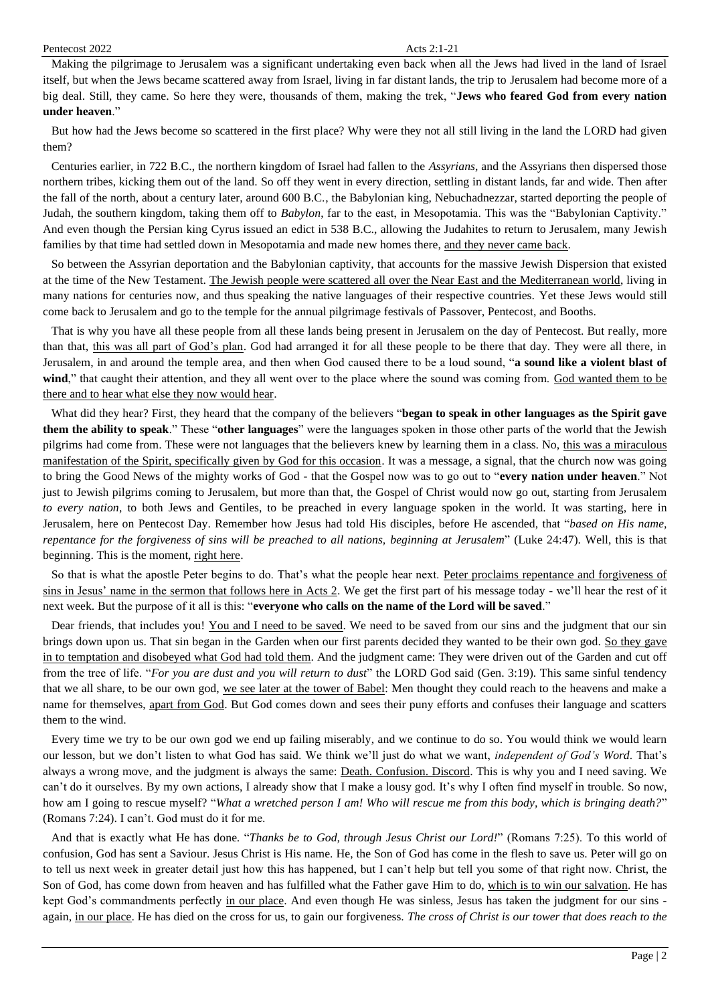Making the pilgrimage to Jerusalem was a significant undertaking even back when all the Jews had lived in the land of Israel itself, but when the Jews became scattered away from Israel, living in far distant lands, the trip to Jerusalem had become more of a big deal. Still, they came. So here they were, thousands of them, making the trek, "**Jews who feared God from every nation under heaven**."

But how had the Jews become so scattered in the first place? Why were they not all still living in the land the LORD had given them?

Centuries earlier, in 722 B.C., the northern kingdom of Israel had fallen to the *Assyrians*, and the Assyrians then dispersed those northern tribes, kicking them out of the land. So off they went in every direction, settling in distant lands, far and wide. Then after the fall of the north, about a century later, around 600 B.C., the Babylonian king, Nebuchadnezzar, started deporting the people of Judah, the southern kingdom, taking them off to *Babylon*, far to the east, in Mesopotamia. This was the "Babylonian Captivity." And even though the Persian king Cyrus issued an edict in 538 B.C., allowing the Judahites to return to Jerusalem, many Jewish families by that time had settled down in Mesopotamia and made new homes there, and they never came back.

So between the Assyrian deportation and the Babylonian captivity, that accounts for the massive Jewish Dispersion that existed at the time of the New Testament. The Jewish people were scattered all over the Near East and the Mediterranean world, living in many nations for centuries now, and thus speaking the native languages of their respective countries. Yet these Jews would still come back to Jerusalem and go to the temple for the annual pilgrimage festivals of Passover, Pentecost, and Booths.

That is why you have all these people from all these lands being present in Jerusalem on the day of Pentecost. But really, more than that, this was all part of God's plan. God had arranged it for all these people to be there that day. They were all there, in Jerusalem, in and around the temple area, and then when God caused there to be a loud sound, "**a sound like a violent blast of wind**," that caught their attention, and they all went over to the place where the sound was coming from. God wanted them to be there and to hear what else they now would hear.

What did they hear? First, they heard that the company of the believers "**began to speak in other languages as the Spirit gave them the ability to speak**." These "**other languages**" were the languages spoken in those other parts of the world that the Jewish pilgrims had come from. These were not languages that the believers knew by learning them in a class. No, this was a miraculous manifestation of the Spirit, specifically given by God for this occasion. It was a message, a signal, that the church now was going to bring the Good News of the mighty works of God - that the Gospel now was to go out to "**every nation under heaven**." Not just to Jewish pilgrims coming to Jerusalem, but more than that, the Gospel of Christ would now go out, starting from Jerusalem *to every nation*, to both Jews and Gentiles, to be preached in every language spoken in the world. It was starting, here in Jerusalem, here on Pentecost Day. Remember how Jesus had told His disciples, before He ascended, that "*based on His name, repentance for the forgiveness of sins will be preached to all nations, beginning at Jerusalem*" (Luke 24:47). Well, this is that beginning. This is the moment, right here.

So that is what the apostle Peter begins to do. That's what the people hear next. Peter proclaims repentance and forgiveness of sins in Jesus' name in the sermon that follows here in Acts 2. We get the first part of his message today - we'll hear the rest of it next week. But the purpose of it all is this: "**everyone who calls on the name of the Lord will be saved**."

Dear friends, that includes you! You and I need to be saved. We need to be saved from our sins and the judgment that our sin brings down upon us. That sin began in the Garden when our first parents decided they wanted to be their own god. So they gave in to temptation and disobeyed what God had told them. And the judgment came: They were driven out of the Garden and cut off from the tree of life. "*For you are dust and you will return to dust*" the LORD God said (Gen. 3:19). This same sinful tendency that we all share, to be our own god, we see later at the tower of Babel: Men thought they could reach to the heavens and make a name for themselves, apart from God. But God comes down and sees their puny efforts and confuses their language and scatters them to the wind.

Every time we try to be our own god we end up failing miserably, and we continue to do so. You would think we would learn our lesson, but we don't listen to what God has said. We think we'll just do what we want, *independent of God's Word*. That's always a wrong move, and the judgment is always the same: Death. Confusion. Discord. This is why you and I need saving. We can't do it ourselves. By my own actions, I already show that I make a lousy god. It's why I often find myself in trouble. So now, how am I going to rescue myself? "*What a wretched person I am! Who will rescue me from this body, which is bringing death?*" (Romans 7:24). I can't. God must do it for me.

And that is exactly what He has done. "*Thanks be to God, through Jesus Christ our Lord!*" (Romans 7:25). To this world of confusion, God has sent a Saviour. Jesus Christ is His name. He, the Son of God has come in the flesh to save us. Peter will go on to tell us next week in greater detail just how this has happened, but I can't help but tell you some of that right now. Christ, the Son of God, has come down from heaven and has fulfilled what the Father gave Him to do, which is to win our salvation. He has kept God's commandments perfectly in our place. And even though He was sinless, Jesus has taken the judgment for our sins again, in our place. He has died on the cross for us, to gain our forgiveness. *The cross of Christ is our tower that does reach to the*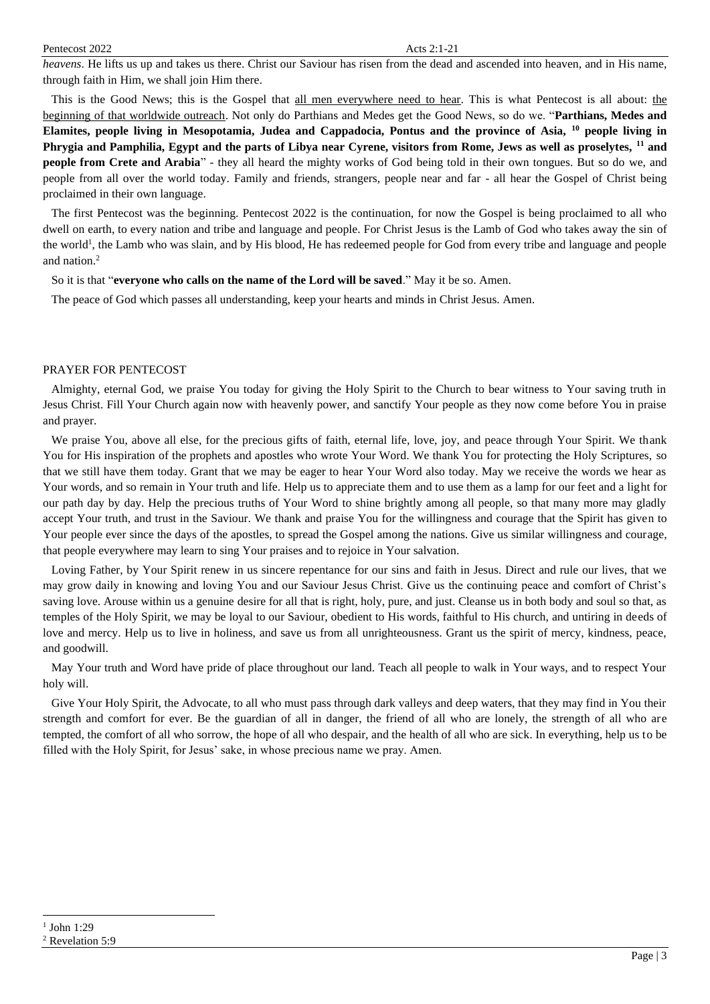*heavens*. He lifts us up and takes us there. Christ our Saviour has risen from the dead and ascended into heaven, and in His name, through faith in Him, we shall join Him there.

This is the Good News; this is the Gospel that all men everywhere need to hear. This is what Pentecost is all about: the beginning of that worldwide outreach. Not only do Parthians and Medes get the Good News, so do we. "**Parthians, Medes and Elamites, people living in Mesopotamia, Judea and Cappadocia, Pontus and the province of Asia, <sup>10</sup> people living in Phrygia and Pamphilia, Egypt and the parts of Libya near Cyrene, visitors from Rome, Jews as well as proselytes, <sup>11</sup> and people from Crete and Arabia**" - they all heard the mighty works of God being told in their own tongues. But so do we, and people from all over the world today. Family and friends, strangers, people near and far - all hear the Gospel of Christ being proclaimed in their own language.

The first Pentecost was the beginning. Pentecost 2022 is the continuation, for now the Gospel is being proclaimed to all who dwell on earth, to every nation and tribe and language and people. For Christ Jesus is the Lamb of God who takes away the sin of the world<sup>1</sup>, the Lamb who was slain, and by His blood, He has redeemed people for God from every tribe and language and people and nation.<sup>2</sup>

So it is that "**everyone who calls on the name of the Lord will be saved**." May it be so. Amen.

The peace of God which passes all understanding, keep your hearts and minds in Christ Jesus. Amen.

### PRAYER FOR PENTECOST

Almighty, eternal God, we praise You today for giving the Holy Spirit to the Church to bear witness to Your saving truth in Jesus Christ. Fill Your Church again now with heavenly power, and sanctify Your people as they now come before You in praise and prayer.

We praise You, above all else, for the precious gifts of faith, eternal life, love, joy, and peace through Your Spirit. We thank You for His inspiration of the prophets and apostles who wrote Your Word. We thank You for protecting the Holy Scriptures, so that we still have them today. Grant that we may be eager to hear Your Word also today. May we receive the words we hear as Your words, and so remain in Your truth and life. Help us to appreciate them and to use them as a lamp for our feet and a light for our path day by day. Help the precious truths of Your Word to shine brightly among all people, so that many more may gladly accept Your truth, and trust in the Saviour. We thank and praise You for the willingness and courage that the Spirit has given to Your people ever since the days of the apostles, to spread the Gospel among the nations. Give us similar willingness and courage, that people everywhere may learn to sing Your praises and to rejoice in Your salvation.

Loving Father, by Your Spirit renew in us sincere repentance for our sins and faith in Jesus. Direct and rule our lives, that we may grow daily in knowing and loving You and our Saviour Jesus Christ. Give us the continuing peace and comfort of Christ's saving love. Arouse within us a genuine desire for all that is right, holy, pure, and just. Cleanse us in both body and soul so that, as temples of the Holy Spirit, we may be loyal to our Saviour, obedient to His words, faithful to His church, and untiring in deeds of love and mercy. Help us to live in holiness, and save us from all unrighteousness. Grant us the spirit of mercy, kindness, peace, and goodwill.

May Your truth and Word have pride of place throughout our land. Teach all people to walk in Your ways, and to respect Your holy will.

Give Your Holy Spirit, the Advocate, to all who must pass through dark valleys and deep waters, that they may find in You their strength and comfort for ever. Be the guardian of all in danger, the friend of all who are lonely, the strength of all who are tempted, the comfort of all who sorrow, the hope of all who despair, and the health of all who are sick. In everything, help us to be filled with the Holy Spirit, for Jesus' sake, in whose precious name we pray. Amen.